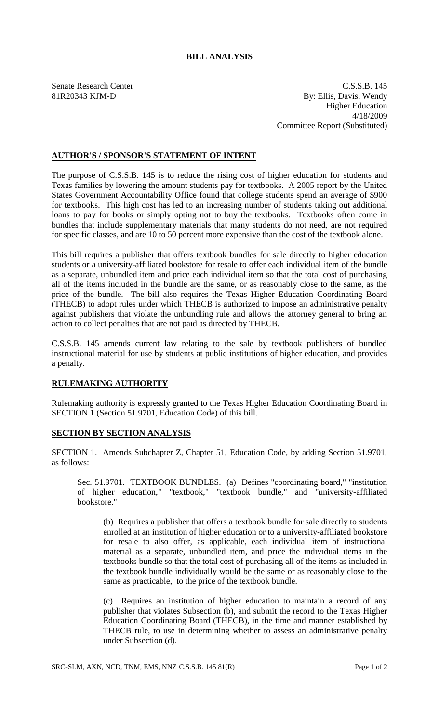## **BILL ANALYSIS**

Senate Research Center C.S.S.B. 145 81R20343 KJM-D By: Ellis, Davis, Wendy Higher Education 4/18/2009 Committee Report (Substituted)

## **AUTHOR'S / SPONSOR'S STATEMENT OF INTENT**

The purpose of C.S.S.B. 145 is to reduce the rising cost of higher education for students and Texas families by lowering the amount students pay for textbooks. A 2005 report by the United States Government Accountability Office found that college students spend an average of \$900 for textbooks. This high cost has led to an increasing number of students taking out additional loans to pay for books or simply opting not to buy the textbooks. Textbooks often come in bundles that include supplementary materials that many students do not need, are not required for specific classes, and are 10 to 50 percent more expensive than the cost of the textbook alone.

This bill requires a publisher that offers textbook bundles for sale directly to higher education students or a university-affiliated bookstore for resale to offer each individual item of the bundle as a separate, unbundled item and price each individual item so that the total cost of purchasing all of the items included in the bundle are the same, or as reasonably close to the same, as the price of the bundle. The bill also requires the Texas Higher Education Coordinating Board (THECB) to adopt rules under which THECB is authorized to impose an administrative penalty against publishers that violate the unbundling rule and allows the attorney general to bring an action to collect penalties that are not paid as directed by THECB.

C.S.S.B. 145 amends current law relating to the sale by textbook publishers of bundled instructional material for use by students at public institutions of higher education, and provides a penalty.

## **RULEMAKING AUTHORITY**

Rulemaking authority is expressly granted to the Texas Higher Education Coordinating Board in SECTION 1 (Section 51.9701, Education Code) of this bill.

## **SECTION BY SECTION ANALYSIS**

SECTION 1. Amends Subchapter Z, Chapter 51, Education Code, by adding Section 51.9701, as follows:

Sec. 51.9701. TEXTBOOK BUNDLES. (a) Defines "coordinating board," "institution of higher education," "textbook," "textbook bundle," and "university-affiliated bookstore."

(b) Requires a publisher that offers a textbook bundle for sale directly to students enrolled at an institution of higher education or to a university-affiliated bookstore for resale to also offer, as applicable, each individual item of instructional material as a separate, unbundled item, and price the individual items in the textbooks bundle so that the total cost of purchasing all of the items as included in the textbook bundle individually would be the same or as reasonably close to the same as practicable, to the price of the textbook bundle.

(c) Requires an institution of higher education to maintain a record of any publisher that violates Subsection (b), and submit the record to the Texas Higher Education Coordinating Board (THECB), in the time and manner established by THECB rule, to use in determining whether to assess an administrative penalty under Subsection (d).